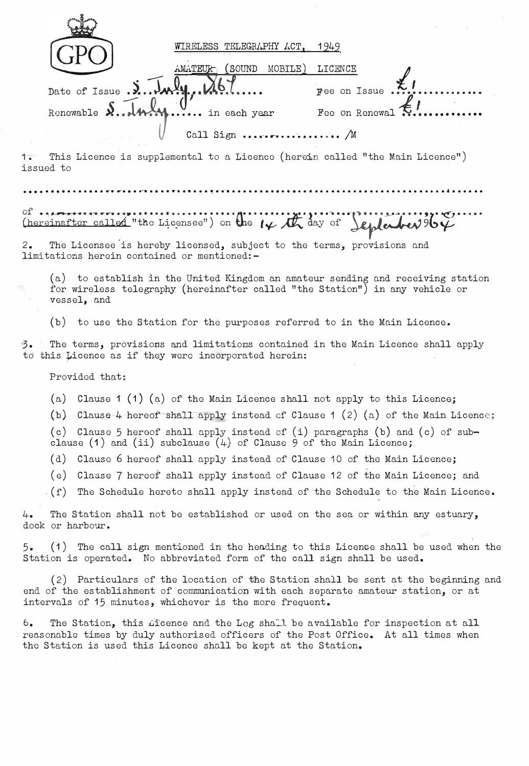|                                     | WIRELESS TELEGRAPHY ACT,                       | 1949                    |
|-------------------------------------|------------------------------------------------|-------------------------|
|                                     | MOBILE)<br>(SOUND<br>AMATEUR                   | LICENCE                 |
| Date of Issue. J. July N67          |                                                | Fee on Issue            |
| Renewable S.  4. W. U. in each year |                                                | Fee on Renewal <b>E</b> |
|                                     | Call Sign $\ldots \ldots \ldots \ldots \ldots$ |                         |

This Licence is supplemental to a Licence (herein called "the Main Licence")  $1.$ issued to

Of not the called "the Licensee") on the  $14$  day of Leplate 1964

The Licensee is hereby licensed, subject to the terms, provisions and  $2.$ limitations herein contained or mentioned:-

(a) to establish in the United Kingdom an amateur sending and receiving station for wireless telegraphy (hereinafter called "the Station") in any vehicle or vessel, and

(b) to use the Station for the purposes referred to in the Main Licence.

 $3.7$ The terms, provisions and limitations contained in the Main Licence shall apply to this Licence as if they were incorporated herein:

Provided that:

(a) Clause 1 (1) (a) of the Main Licence shall not apply to this Licence;

(b) Clause-4 hereof shall apply instead of Clause 1 (2) (a) of the Main Licence;

(c) Clause 5 hereof shall apply instead of (i) paragraphs (b) and (c) of subclause (1) and (ii) subclause (4) of Clause 9 of the Main Licence;

(d) Clause 6 hereof shall apply instead of Clause 10 of the Main Licence;

- (e) Clause 7 hereof shall apply instead of Clause 12 of the Main Licence; and
- $(f)$  The Schedule hereto shall apply instead of the Schedule to the Main Licence.

The Station shall not be established or used on the sea or within any estuary, 4. dock or harbour.

(1) The call sign mentioned in the heading to this Licence shall be used when the  $5.$ Station is operated. No abbreviated form of the call sign shall be used.

(2) Particulars of the location of the Station shall be sent at the beginning and end of the establishment of communication with each separate amateur station, or at intervals of 15 minutes, whichever is the more frequent.

 $6.$ The Station, this *incence* and the Log shall be available for inspection at all reasonable times by duly authorised officers of the Post Office. At all times when the Station is used this Licence shall be kept at the Station.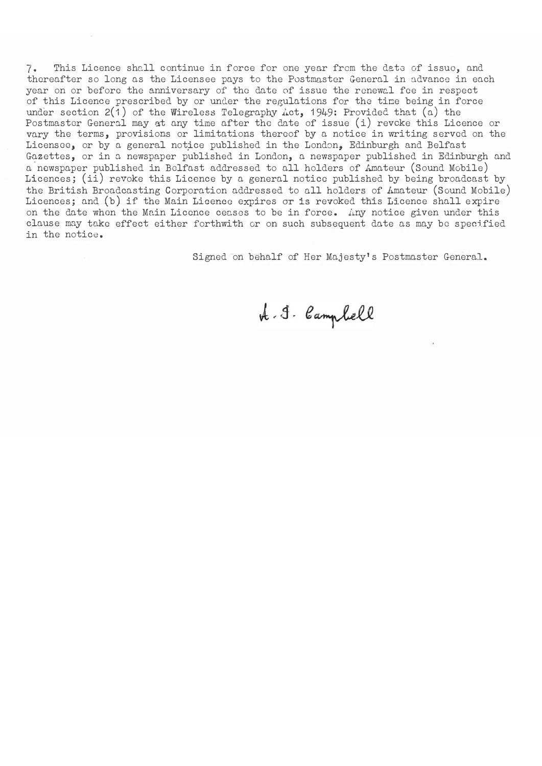7. This Licence shall continue in force for one year from the date of issue, and thereafter so long as the Licensee pays to the Postmaster General in advance in each year on or before the anniversary of the date of issue the renewal fee in respect of this Licence prescribed by or under the regulations for the time being in force under section 2(1) of the Wireless Telegraphy Act, 1949: Provided that (a) the Postmaster General may at any time after the date of issue (i) revoke this Licence or vary the terms, provisions or limitations thereof by a notice in writing served on the Licensee, or by a general notice published in the London, Edinburgh and Belfast Gazettes, or in a newspaper published in London, a newspaper published in Edinburgh and a newspaper published in Belfast addressed to all holders of Amateur (Sound Mobile) Licences; (ii) revoke this Licence by a general notice published by being broadcast by the British Broadcasting Corporation addressed to all holders of Amateur (Sound Mobile) Licences; and (b) if the Main Licence expires or is revoked this Licence shall expire on the date when the Main Licence ceases to be in force. Any notice given under this clause may take effect either forthwith or on such subsequent date as may be specified in the notice.

Signed on behalf of Her Majesty's Postmaster General.

A. J. Campbell